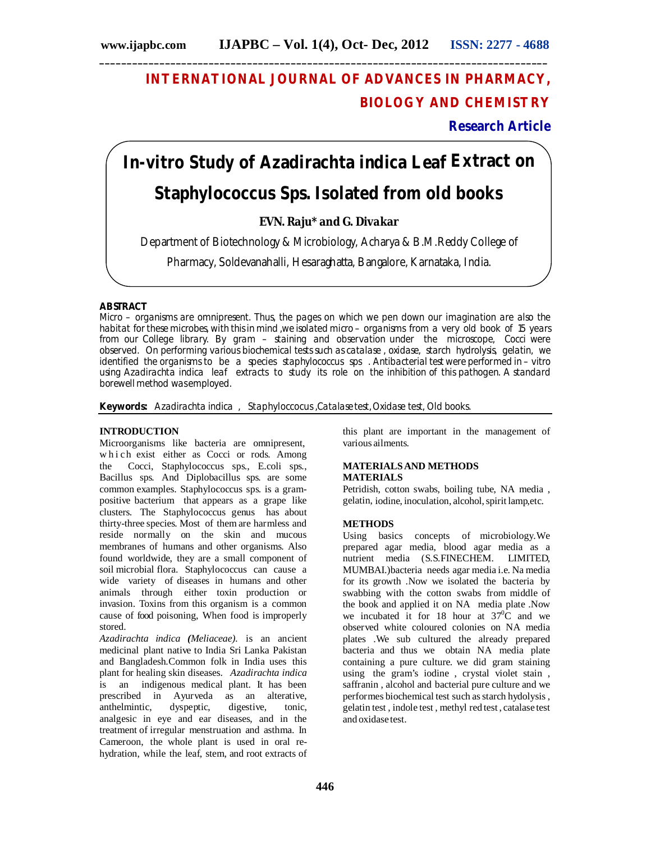# **INTERNATIONAL JOURNAL OF ADVANCES IN PHARMACY, BIOLOGY AND CHEMISTRY**

**Research Article**

# **In-vitro Study of** *Azadirachta indica* **Leaf Extract on Staphylococcus Sps. Isolated from old books**

**EVN. Raju\* and G. Divakar**

Department of Biotechnology & Microbiology, Acharya & B.M.Reddy College of

Pharmacy, Soldevanahalli, Hesaraghatta, Bangalore, Karnataka, India.

# **ABSTRACT**

Micro – organisms are omnipresent. Thus, the pages on which we pen down our imagination are also the habitat for these microbes, with this in mind ,we isolated micro – organisms from a very old book of 15 years from our College library. By gram – staining and observation under the microscope, Cocci were observed. On performing various biochemical tests such as catalase , oxidase, starch hydrolysis, gelatin, we identified the organisms to be a species staphylococcus sps . Antibacterial test were performed in – vitro using *Azadirachta indica*leaf extracts to study its role on the inhibition of this pathogen. A standard borewell method was employed.

**Keywords:** *Azadirachta indica*, Staphyloccocus ,Catalase test,Oxidase test, Old books.

# **INTRODUCTION**

Microorganisms like bacteria are omnipresent, which exist either as Cocci or rods. Among the Cocci, Staphylococcus sps., E.coli sps., Bacillus sps. And Diplobacillus sps. are some common examples. Staphylococcus sps. is a grampositive bacterium that appears as a grape like clusters. The Staphylococcus genus has about thirty-three species. Most of them are harmless and reside normally on the skin and mucous membranes of humans and other organisms. Also found worldwide, they are a small component of soil microbial flora. Staphylococcus can cause a wide variety of diseases in humans and other animals through either toxin production or invasion. Toxins from this organism is a common cause of food poisoning, When food is improperly stored.

*Azadirachta indica (Meliaceae).* is an ancient medicinal plant native to India Sri Lanka Pakistan and Bangladesh.Common folk in India uses this plant for healing skin diseases. *Azadirachta indica* is an indigenous medical plant. It has been prescribed in Ayurveda as an alterative, anthelmintic, dyspeptic, digestive, tonic, analgesic in eye and ear diseases, and in the treatment of irregular menstruation and asthma. In Cameroon, the whole plant is used in oral rehydration, while the leaf, stem, and root extracts of this plant are important in the management of various ailments.

# **MATERIALSAND METHODS MATERIALS**

Petridish, cotton swabs, boiling tube, NA media , gelatin, iodine, inoculation, alcohol, spirit lamp,etc.

# **METHODS**

Using basics concepts of microbiology.We prepared agar media, blood agar media as a nutrient media (S.S.FINECHEM. LIMITED, MUMBAI.)bacteria needs agar media i.e. Na media for its growth .Now we isolated the bacteria by swabbing with the cotton swabs from middle of the book and applied it on NA media plate .Now we incubated it for 18 hour at  $37^{\circ}$ C and we observed white coloured colonies on NA media plates .We sub cultured the already prepared bacteria and thus we obtain NA media plate containing a pure culture. we did gram staining using the gram's iodine , crystal violet stain , saffranin , alcohol and bacterial pure culture and we performes biochemical test such as starch hydolysis, gelatin test , indole test , methyl red test , catalase test and oxidase test.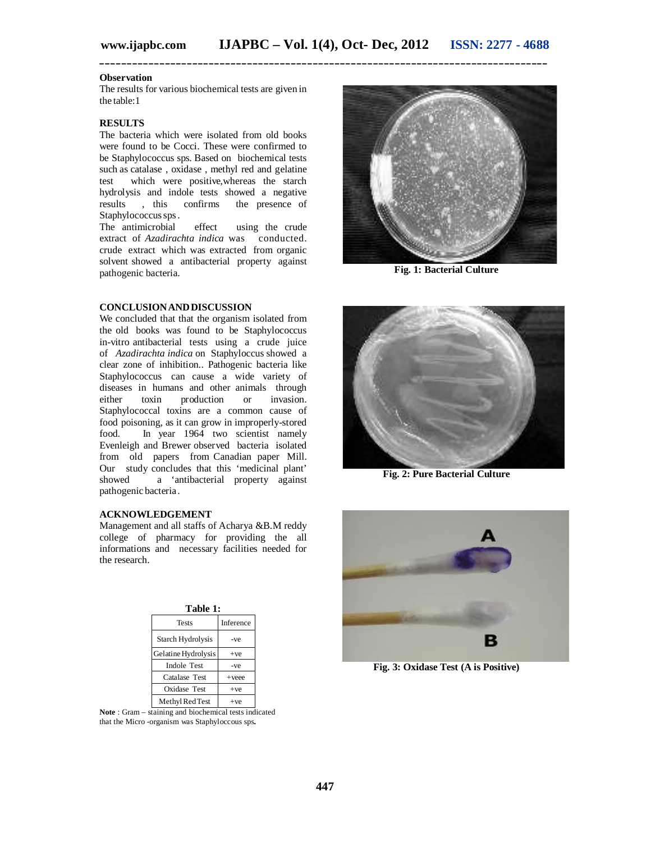**\_\_\_\_\_\_\_\_\_\_\_\_\_\_\_\_\_\_\_\_\_\_\_\_\_\_\_\_\_\_\_\_\_\_\_\_\_\_\_\_\_\_\_\_\_\_\_\_\_\_\_\_\_\_\_\_\_\_\_\_\_\_\_\_\_\_\_\_\_\_\_\_\_\_\_\_\_\_\_\_\_\_**

#### **Observation**

The results for various biochemical tests are given in the table:1

#### **RESULTS**

The bacteria which were isolated from old books were found to be Cocci. These were confirmed to be Staphylococcus sps. Based on biochemical tests such as catalase , oxidase , methyl red and gelatine test which were positive,whereas the starch hydrolysis and indole tests showed a negative<br>results , this confirms the presence of results , this confirms the presence of Staphylococcus sps.<br>The antimicrobial

effect using the crude extract of *Azadirachta indica* was conducted. crude extract which was extracted from organic solvent showed a antibacterial property against pathogenic bacteria.

# **CONCLUSIONANDDISCUSSION**

We concluded that that the organism isolated from the old books was found to be Staphylococcus in-vitro antibacterial tests using a crude juice of *Azadirachta indica* on Staphyloccus showed a clear zone of inhibition.. Pathogenic bacteria like Staphylococcus can cause a wide variety of diseases in humans and other animals through either toxin production or invasion. Staphylococcal toxins are a common cause of food poisoning, as it can grow in improperly-stored food. In year 1964 two scientist namely Evenleigh and Brewer observed bacteria isolated from old papers from Canadian paper Mill. Our study concludes that this 'medicinal plant' showed a 'antibacterial property against pathogenic bacteria .

## **ACKNOWLEDGEMENT**

Management and all staffs of Acharya &B.M reddy college of pharmacy for providing the all informations and necessary facilities needed for the research.

| Table 1:            |           |
|---------------------|-----------|
| <b>Tests</b>        | Inference |
| Starch Hydrolysis   | -ve       |
| Gelatine Hydrolysis | $+ve$     |
| <b>Indole Test</b>  | -ve       |
| Catalase Test       | $+$ veee  |
| Oxidase Test        | $+ve$     |
| Methyl Red Test     | $+ve$     |

**Note** : Gram – staining and biochemical tests indicated that the Micro -organism was Staphyloccous sps**.**



**Fig. 1: Bacterial Culture**



**Fig. 2: Pure Bacterial Culture**



**Fig. 3: Oxidase Test (A is Positive)**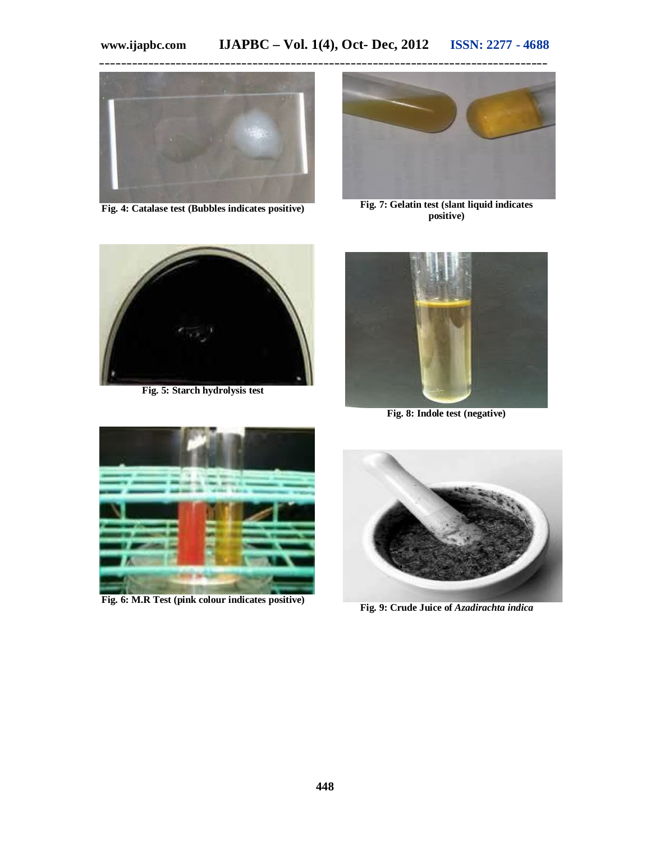

**Fig. 4: Catalase test (Bubbles indicates positive)**



**Fig. 7: Gelatin test (slant liquid indicates positive)**



**Fig. 5: Starch hydrolysis test**



**Fig. 8: Indole test (negative)**



**Fig. 6: M.R Test (pink colour indicates positive)**



**Fig. 9: Crude Juice of** *Azadirachta indica*